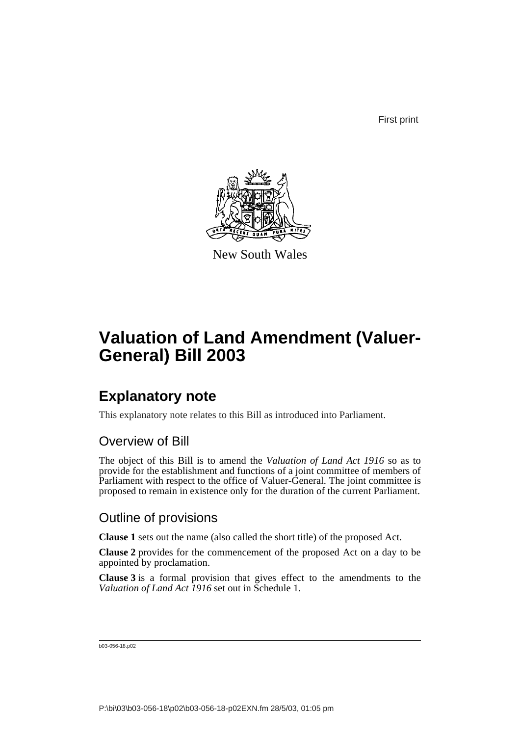First print



New South Wales

# **Valuation of Land Amendment (Valuer-General) Bill 2003**

## **Explanatory note**

This explanatory note relates to this Bill as introduced into Parliament.

#### Overview of Bill

The object of this Bill is to amend the *Valuation of Land Act 1916* so as to provide for the establishment and functions of a joint committee of members of Parliament with respect to the office of Valuer-General. The joint committee is proposed to remain in existence only for the duration of the current Parliament.

#### Outline of provisions

**Clause 1** sets out the name (also called the short title) of the proposed Act.

**Clause 2** provides for the commencement of the proposed Act on a day to be appointed by proclamation.

**Clause 3** is a formal provision that gives effect to the amendments to the *Valuation of Land Act 1916* set out in Schedule 1.

b03-056-18.p02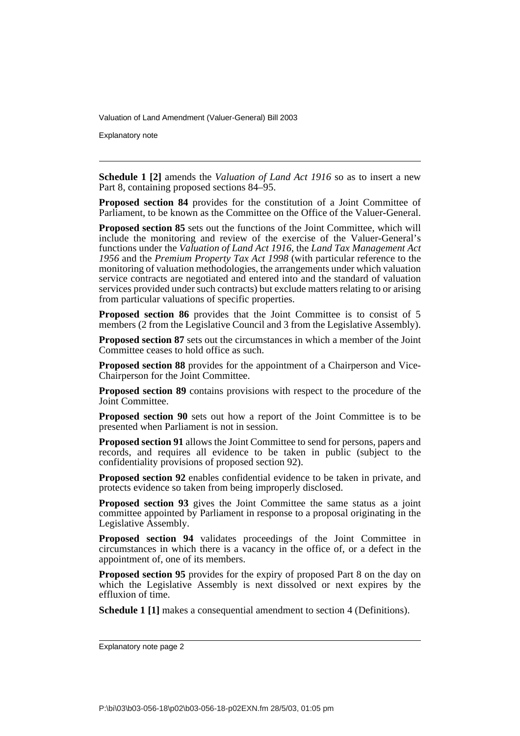Explanatory note

**Schedule 1 [2]** amends the *Valuation of Land Act 1916* so as to insert a new Part 8, containing proposed sections 84–95.

**Proposed section 84** provides for the constitution of a Joint Committee of Parliament, to be known as the Committee on the Office of the Valuer-General.

**Proposed section 85** sets out the functions of the Joint Committee, which will include the monitoring and review of the exercise of the Valuer-General's functions under the *Valuation of Land Act 1916*, the *Land Tax Management Act 1956* and the *Premium Property Tax Act 1998* (with particular reference to the monitoring of valuation methodologies, the arrangements under which valuation service contracts are negotiated and entered into and the standard of valuation services provided under such contracts) but exclude matters relating to or arising from particular valuations of specific properties.

**Proposed section 86** provides that the Joint Committee is to consist of 5 members (2 from the Legislative Council and 3 from the Legislative Assembly).

**Proposed section 87** sets out the circumstances in which a member of the Joint Committee ceases to hold office as such.

**Proposed section 88** provides for the appointment of a Chairperson and Vice-Chairperson for the Joint Committee.

**Proposed section 89** contains provisions with respect to the procedure of the Joint Committee.

**Proposed section 90** sets out how a report of the Joint Committee is to be presented when Parliament is not in session.

**Proposed section 91** allows the Joint Committee to send for persons, papers and records, and requires all evidence to be taken in public (subject to the confidentiality provisions of proposed section 92).

**Proposed section 92** enables confidential evidence to be taken in private, and protects evidence so taken from being improperly disclosed.

**Proposed section 93** gives the Joint Committee the same status as a joint committee appointed by Parliament in response to a proposal originating in the Legislative Assembly.

**Proposed section 94** validates proceedings of the Joint Committee in circumstances in which there is a vacancy in the office of, or a defect in the appointment of, one of its members.

**Proposed section 95** provides for the expiry of proposed Part 8 on the day on which the Legislative Assembly is next dissolved or next expires by the effluxion of time.

**Schedule 1** [1] makes a consequential amendment to section 4 (Definitions).

Explanatory note page 2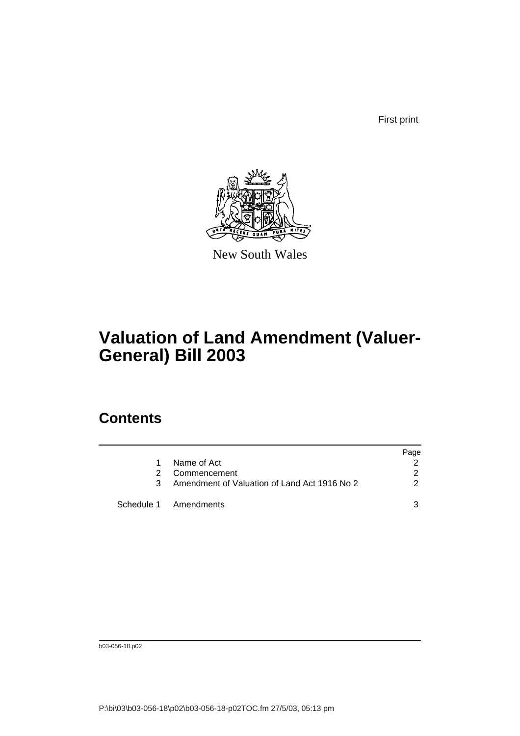First print



New South Wales

## **Valuation of Land Amendment (Valuer-General) Bill 2003**

### **Contents**

|    |                                              | Page                 |
|----|----------------------------------------------|----------------------|
| 1. | Name of Act                                  |                      |
| 2  | Commencement                                 | 2                    |
| 3  | Amendment of Valuation of Land Act 1916 No 2 | $\mathcal{P} \equiv$ |
|    | Schedule 1 Amendments                        | ર                    |

b03-056-18.p02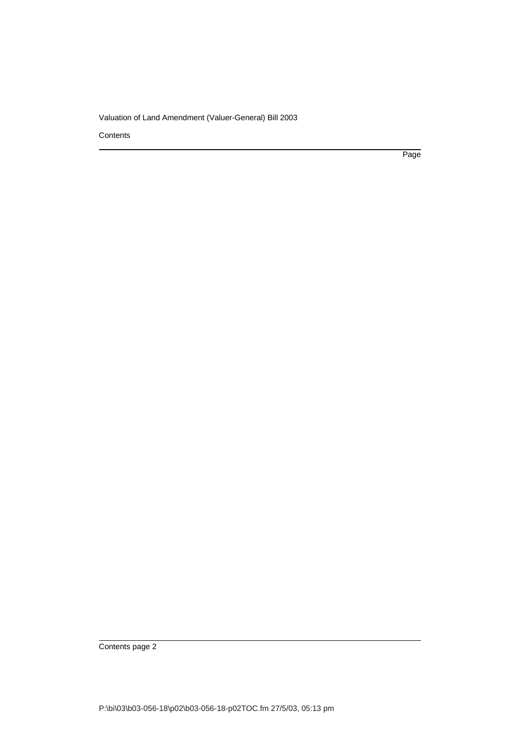**Contents** 

Page

Contents page 2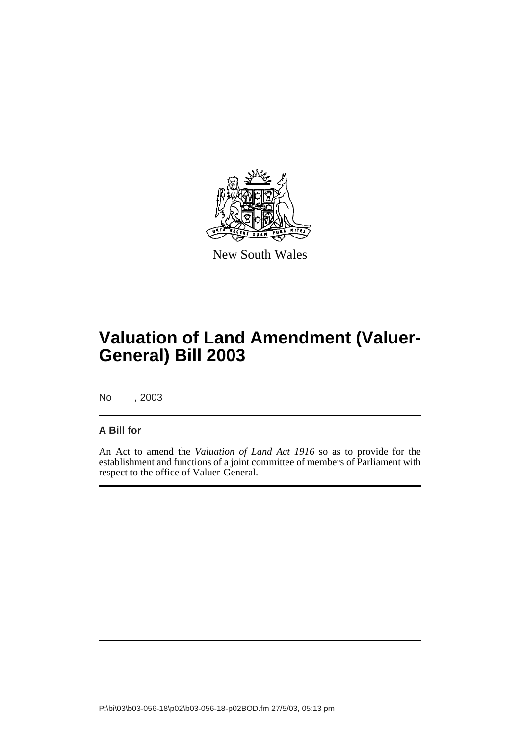

New South Wales

# **Valuation of Land Amendment (Valuer-General) Bill 2003**

No , 2003

#### **A Bill for**

An Act to amend the *Valuation of Land Act 1916* so as to provide for the establishment and functions of a joint committee of members of Parliament with respect to the office of Valuer-General.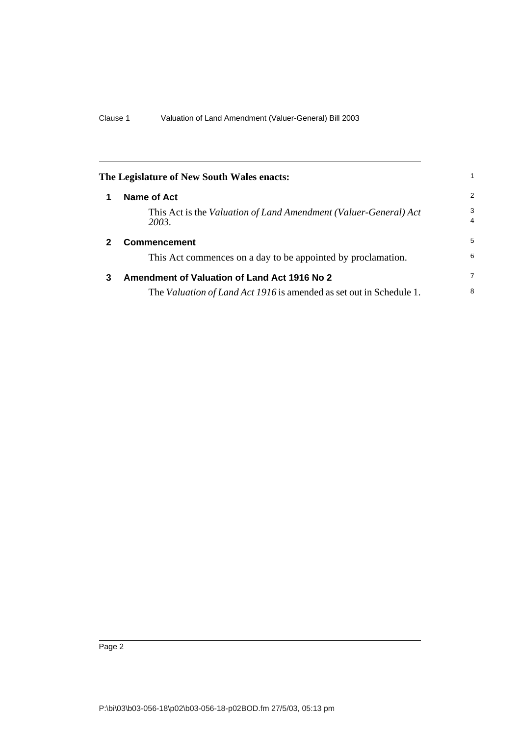<span id="page-5-2"></span><span id="page-5-1"></span><span id="page-5-0"></span>

|              | The Legislature of New South Wales enacts:                                |        |
|--------------|---------------------------------------------------------------------------|--------|
|              | Name of Act                                                               | 2      |
|              | This Act is the Valuation of Land Amendment (Valuer-General) Act<br>2003. | 3<br>4 |
| $\mathbf{2}$ | <b>Commencement</b>                                                       | 5      |
|              | This Act commences on a day to be appointed by proclamation.              | 6      |
| 3            | Amendment of Valuation of Land Act 1916 No 2                              | 7      |
|              | The Valuation of Land Act 1916 is amended as set out in Schedule 1.       | 8      |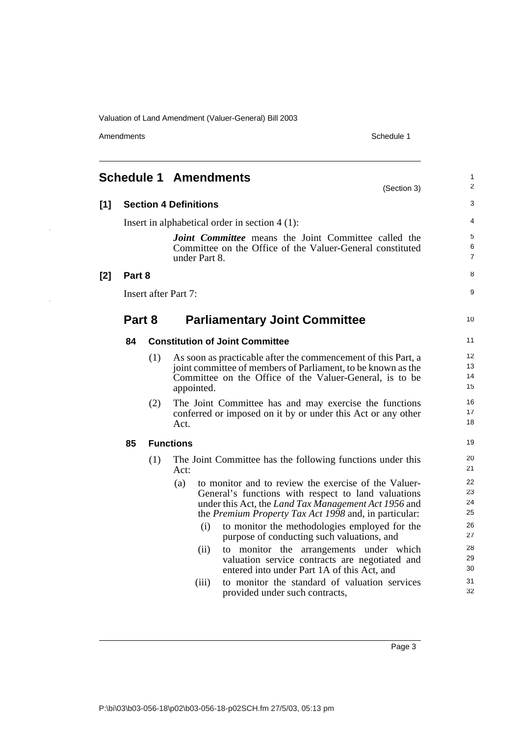Amendments Schedule 1

 $\bar{\bar{z}}$ 

<span id="page-6-0"></span>

|       |        |     | <b>Schedule 1 Amendments</b><br>(Section 3)                                                                                                                                                                                                                                                                                                                                                         | 1<br>$\overline{2}$                    |
|-------|--------|-----|-----------------------------------------------------------------------------------------------------------------------------------------------------------------------------------------------------------------------------------------------------------------------------------------------------------------------------------------------------------------------------------------------------|----------------------------------------|
| $[1]$ |        |     | <b>Section 4 Definitions</b>                                                                                                                                                                                                                                                                                                                                                                        | 3                                      |
|       |        |     | Insert in alphabetical order in section $4(1)$ :                                                                                                                                                                                                                                                                                                                                                    | 4                                      |
|       |        |     | <b>Joint Committee</b> means the Joint Committee called the<br>Committee on the Office of the Valuer-General constituted<br>under Part 8.                                                                                                                                                                                                                                                           | 5<br>6<br>7                            |
| $[2]$ | Part 8 |     |                                                                                                                                                                                                                                                                                                                                                                                                     | 8                                      |
|       |        |     | <b>Insert after Part 7:</b>                                                                                                                                                                                                                                                                                                                                                                         | 9                                      |
|       | Part 8 |     | <b>Parliamentary Joint Committee</b>                                                                                                                                                                                                                                                                                                                                                                | 10                                     |
|       | 84     |     | <b>Constitution of Joint Committee</b>                                                                                                                                                                                                                                                                                                                                                              | 11                                     |
|       |        | (1) | As soon as practicable after the commencement of this Part, a<br>joint committee of members of Parliament, to be known as the<br>Committee on the Office of the Valuer-General, is to be<br>appointed.                                                                                                                                                                                              | 12<br>13<br>14<br>15                   |
|       |        | (2) | The Joint Committee has and may exercise the functions<br>conferred or imposed on it by or under this Act or any other<br>Act.                                                                                                                                                                                                                                                                      | 16<br>17<br>18                         |
|       | 85     |     | <b>Functions</b>                                                                                                                                                                                                                                                                                                                                                                                    | 19                                     |
|       |        | (1) | The Joint Committee has the following functions under this<br>Act:                                                                                                                                                                                                                                                                                                                                  | 20<br>21                               |
|       |        |     | to monitor and to review the exercise of the Valuer-<br>(a)<br>General's functions with respect to land valuations<br>under this Act, the Land Tax Management Act 1956 and<br>the <i>Premium Property Tax Act 1998</i> and, in particular:<br>to monitor the methodologies employed for the<br>(i)<br>purpose of conducting such valuations, and<br>to monitor the arrangements under which<br>(ii) | 22<br>23<br>24<br>25<br>26<br>27<br>28 |
|       |        |     | valuation service contracts are negotiated and<br>entered into under Part 1A of this Act, and                                                                                                                                                                                                                                                                                                       | 29<br>30                               |
|       |        |     | to monitor the standard of valuation services<br>(iii)<br>provided under such contracts,                                                                                                                                                                                                                                                                                                            | 31<br>32                               |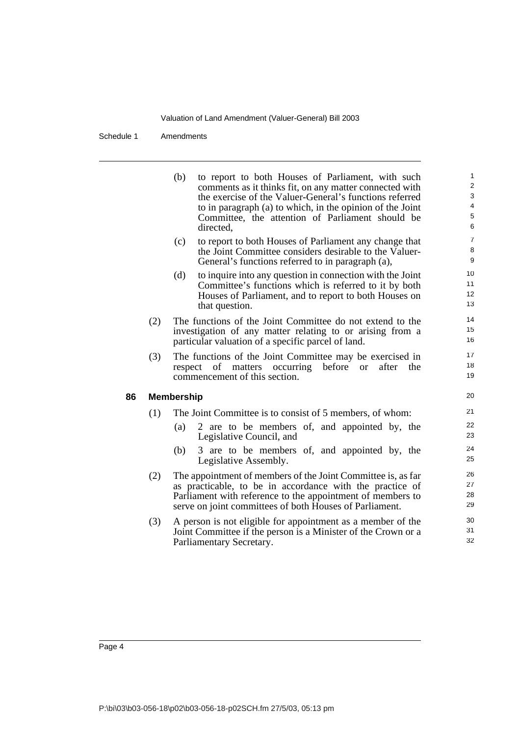Schedule 1 Amendments

(b) to report to both Houses of Parliament, with such comments as it thinks fit, on any matter connected with the exercise of the Valuer-General's functions referred to in paragraph (a) to which, in the opinion of the Joint Committee, the attention of Parliament should be directed, (c) to report to both Houses of Parliament any change that the Joint Committee considers desirable to the Valuer-General's functions referred to in paragraph (a), (d) to inquire into any question in connection with the Joint Committee's functions which is referred to it by both Houses of Parliament, and to report to both Houses on that question. (2) The functions of the Joint Committee do not extend to the investigation of any matter relating to or arising from a particular valuation of a specific parcel of land. (3) The functions of the Joint Committee may be exercised in respect of matters occurring before or after the commencement of this section. **86 Membership** (1) The Joint Committee is to consist of 5 members, of whom: (a) 2 are to be members of, and appointed by, the Legislative Council, and (b) 3 are to be members of, and appointed by, the Legislative Assembly. (2) The appointment of members of the Joint Committee is, as far as practicable, to be in accordance with the practice of Parliament with reference to the appointment of members to serve on joint committees of both Houses of Parliament. (3) A person is not eligible for appointment as a member of the Joint Committee if the person is a Minister of the Crown or a 1  $\overline{2}$ 3 4 5 6 7 8 9 10 11 12 13 14 15 16 17 18 19 20 21 22 23 24 25 26 27 28 29 30 31

32

Parliamentary Secretary.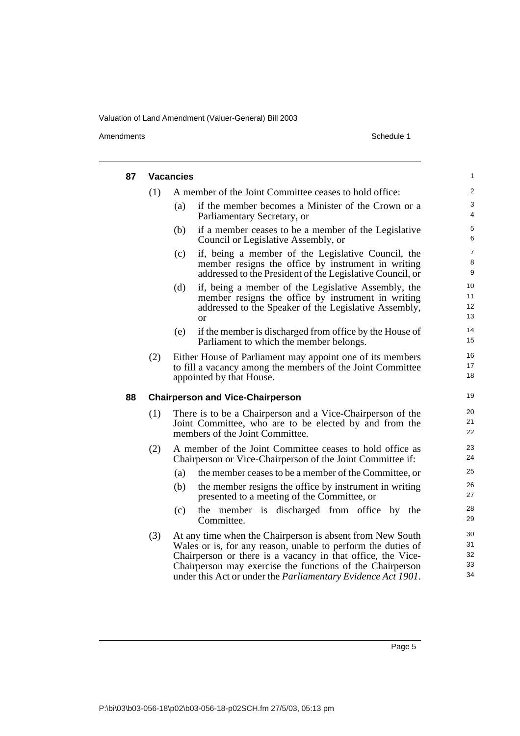Amendments Schedule 1

| 87 |     | <b>Vacancies</b>                                                                                                                                                                                                                                                                                                              | 1                          |
|----|-----|-------------------------------------------------------------------------------------------------------------------------------------------------------------------------------------------------------------------------------------------------------------------------------------------------------------------------------|----------------------------|
|    | (1) | A member of the Joint Committee ceases to hold office:                                                                                                                                                                                                                                                                        | $\overline{\mathbf{c}}$    |
|    |     | if the member becomes a Minister of the Crown or a<br>(a)<br>Parliamentary Secretary, or                                                                                                                                                                                                                                      | 3<br>4                     |
|    |     | (b)<br>if a member ceases to be a member of the Legislative<br>Council or Legislative Assembly, or                                                                                                                                                                                                                            | 5<br>6                     |
|    |     | if, being a member of the Legislative Council, the<br>(c)<br>member resigns the office by instrument in writing<br>addressed to the President of the Legislative Council, or                                                                                                                                                  | 7<br>8<br>9                |
|    |     | (d)<br>if, being a member of the Legislative Assembly, the<br>member resigns the office by instrument in writing<br>addressed to the Speaker of the Legislative Assembly,<br><sub>or</sub>                                                                                                                                    | 10<br>11<br>12<br>13       |
|    |     | (e)<br>if the member is discharged from office by the House of<br>Parliament to which the member belongs.                                                                                                                                                                                                                     | 14<br>15                   |
|    | (2) | Either House of Parliament may appoint one of its members<br>to fill a vacancy among the members of the Joint Committee<br>appointed by that House.                                                                                                                                                                           | 16<br>17<br>18             |
| 88 |     | <b>Chairperson and Vice-Chairperson</b>                                                                                                                                                                                                                                                                                       | 19                         |
|    | (1) | There is to be a Chairperson and a Vice-Chairperson of the<br>Joint Committee, who are to be elected by and from the<br>members of the Joint Committee.                                                                                                                                                                       | 20<br>21<br>22             |
|    | (2) | A member of the Joint Committee ceases to hold office as<br>Chairperson or Vice-Chairperson of the Joint Committee if:                                                                                                                                                                                                        | 23<br>24                   |
|    |     | (a)<br>the member ceases to be a member of the Committee, or                                                                                                                                                                                                                                                                  | 25                         |
|    |     | the member resigns the office by instrument in writing<br>(b)<br>presented to a meeting of the Committee, or                                                                                                                                                                                                                  | 26<br>27                   |
|    |     | the member is discharged from office by the<br>(c)<br>Committee.                                                                                                                                                                                                                                                              | 28<br>29                   |
|    | (3) | At any time when the Chairperson is absent from New South<br>Wales or is, for any reason, unable to perform the duties of<br>Chairperson or there is a vacancy in that office, the Vice-<br>Chairperson may exercise the functions of the Chairperson<br>under this Act or under the <i>Parliamentary Evidence Act 1901</i> . | 30<br>31<br>32<br>33<br>34 |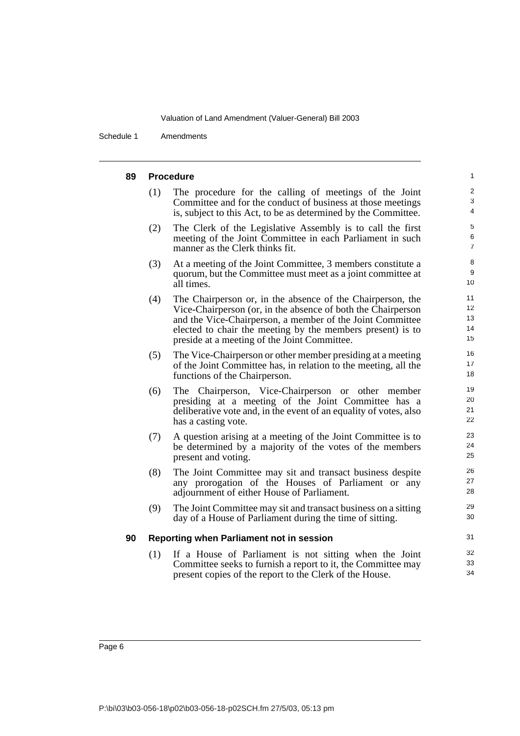Schedule 1 Amendments

| 89 | <b>Procedure</b> |                                                                                                                                                                                                                                                                                                       |                                    |
|----|------------------|-------------------------------------------------------------------------------------------------------------------------------------------------------------------------------------------------------------------------------------------------------------------------------------------------------|------------------------------------|
|    | (1)              | The procedure for the calling of meetings of the Joint<br>Committee and for the conduct of business at those meetings<br>is, subject to this Act, to be as determined by the Committee.                                                                                                               | $\boldsymbol{2}$<br>3<br>4         |
|    | (2)              | The Clerk of the Legislative Assembly is to call the first<br>meeting of the Joint Committee in each Parliament in such<br>manner as the Clerk thinks fit.                                                                                                                                            | $\,$ 5 $\,$<br>6<br>$\overline{7}$ |
|    | (3)              | At a meeting of the Joint Committee, 3 members constitute a<br>quorum, but the Committee must meet as a joint committee at<br>all times.                                                                                                                                                              | 8<br>9<br>10                       |
|    | (4)              | The Chairperson or, in the absence of the Chairperson, the<br>Vice-Chairperson (or, in the absence of both the Chairperson<br>and the Vice-Chairperson, a member of the Joint Committee<br>elected to chair the meeting by the members present) is to<br>preside at a meeting of the Joint Committee. | 11<br>12<br>13<br>14<br>15         |
|    | (5)              | The Vice-Chairperson or other member presiding at a meeting<br>of the Joint Committee has, in relation to the meeting, all the<br>functions of the Chairperson.                                                                                                                                       | 16<br>17<br>18                     |
|    | (6)              | The Chairperson, Vice-Chairperson or other member<br>presiding at a meeting of the Joint Committee has a<br>deliberative vote and, in the event of an equality of votes, also<br>has a casting vote.                                                                                                  | 19<br>20<br>21<br>22               |
|    | (7)              | A question arising at a meeting of the Joint Committee is to<br>be determined by a majority of the votes of the members<br>present and voting.                                                                                                                                                        | 23<br>24<br>25                     |
|    | (8)              | The Joint Committee may sit and transact business despite<br>any prorogation of the Houses of Parliament or any<br>adjournment of either House of Parliament.                                                                                                                                         | 26<br>27<br>28                     |
|    | (9)              | The Joint Committee may sit and transact business on a sitting<br>day of a House of Parliament during the time of sitting.                                                                                                                                                                            | 29<br>30                           |
| 90 |                  | Reporting when Parliament not in session                                                                                                                                                                                                                                                              | 31                                 |
|    | (1)              | If a House of Parliament is not sitting when the Joint<br>Committee seeks to furnish a report to it, the Committee may<br>present copies of the report to the Clerk of the House.                                                                                                                     | 32<br>33<br>34                     |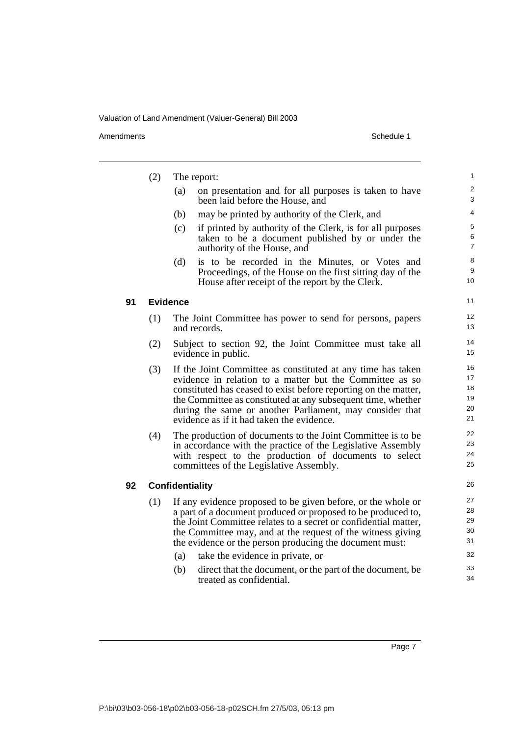Amendments Schedule 1

|    | (2) | The report:                                                                                                                                                                                                                                                                                                                                                          | 1                                      |
|----|-----|----------------------------------------------------------------------------------------------------------------------------------------------------------------------------------------------------------------------------------------------------------------------------------------------------------------------------------------------------------------------|----------------------------------------|
|    |     | on presentation and for all purposes is taken to have<br>(a)<br>been laid before the House, and                                                                                                                                                                                                                                                                      | $\overline{2}$<br>$\mathbf{3}$         |
|    |     | may be printed by authority of the Clerk, and<br>(b)                                                                                                                                                                                                                                                                                                                 | 4                                      |
|    |     | if printed by authority of the Clerk, is for all purposes<br>(c)<br>taken to be a document published by or under the<br>authority of the House, and                                                                                                                                                                                                                  | 5<br>6<br>$\overline{7}$               |
|    |     | is to be recorded in the Minutes, or Votes and<br>(d)<br>Proceedings, of the House on the first sitting day of the<br>House after receipt of the report by the Clerk.                                                                                                                                                                                                | 8<br>9<br>10 <sup>10</sup>             |
| 91 |     | <b>Evidence</b>                                                                                                                                                                                                                                                                                                                                                      | 11                                     |
|    | (1) | The Joint Committee has power to send for persons, papers<br>and records.                                                                                                                                                                                                                                                                                            | 12 <sup>2</sup><br>13                  |
|    | (2) | Subject to section 92, the Joint Committee must take all<br>evidence in public.                                                                                                                                                                                                                                                                                      | 14<br>15                               |
|    | (3) | If the Joint Committee as constituted at any time has taken<br>evidence in relation to a matter but the Committee as so<br>constituted has ceased to exist before reporting on the matter,<br>the Committee as constituted at any subsequent time, whether<br>during the same or another Parliament, may consider that<br>evidence as if it had taken the evidence.  | 16<br>17<br>18<br>19<br>20<br>21       |
|    | (4) | The production of documents to the Joint Committee is to be<br>in accordance with the practice of the Legislative Assembly<br>with respect to the production of documents to select<br>committees of the Legislative Assembly.                                                                                                                                       | 22<br>23<br>24<br>25                   |
| 92 |     | <b>Confidentiality</b>                                                                                                                                                                                                                                                                                                                                               | 26                                     |
|    | (1) | If any evidence proposed to be given before, or the whole or<br>a part of a document produced or proposed to be produced to,<br>the Joint Committee relates to a secret or confidential matter,<br>the Committee may, and at the request of the witness giving<br>the evidence or the person producing the document must:<br>take the evidence in private, or<br>(a) | 27<br>28<br>29<br>30<br>31<br>32<br>33 |
|    |     | direct that the document, or the part of the document, be<br>(b)<br>treated as confidential.                                                                                                                                                                                                                                                                         | 34                                     |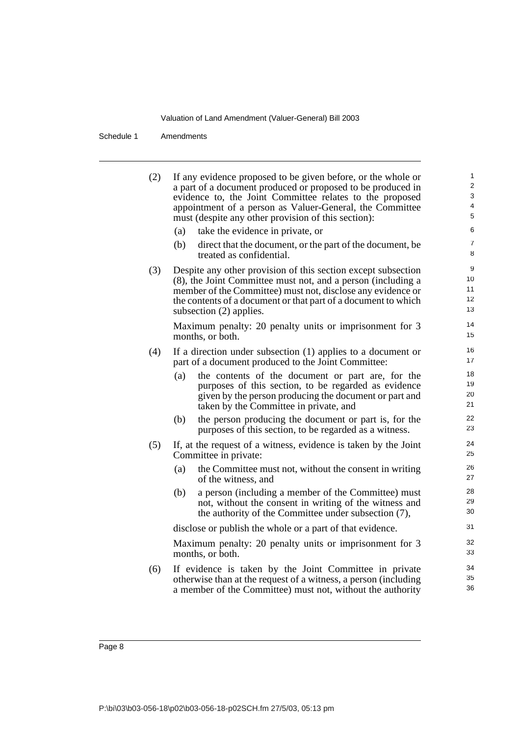Schedule 1 Amendments

(2) If any evidence proposed to be given before, or the whole or a part of a document produced or proposed to be produced in evidence to, the Joint Committee relates to the proposed appointment of a person as Valuer-General, the Committee must (despite any other provision of this section): (a) take the evidence in private, or (b) direct that the document, or the part of the document, be treated as confidential. (3) Despite any other provision of this section except subsection (8), the Joint Committee must not, and a person (including a member of the Committee) must not, disclose any evidence or the contents of a document or that part of a document to which subsection (2) applies. Maximum penalty: 20 penalty units or imprisonment for 3 months, or both. (4) If a direction under subsection (1) applies to a document or part of a document produced to the Joint Committee: (a) the contents of the document or part are, for the purposes of this section, to be regarded as evidence given by the person producing the document or part and taken by the Committee in private, and (b) the person producing the document or part is, for the purposes of this section, to be regarded as a witness. (5) If, at the request of a witness, evidence is taken by the Joint Committee in private: (a) the Committee must not, without the consent in writing of the witness, and (b) a person (including a member of the Committee) must not, without the consent in writing of the witness and the authority of the Committee under subsection (7), disclose or publish the whole or a part of that evidence. Maximum penalty: 20 penalty units or imprisonment for 3 months, or both. (6) If evidence is taken by the Joint Committee in private otherwise than at the request of a witness, a person (including a member of the Committee) must not, without the authority 1  $\overline{2}$ 3 4 5 6 7 8 9 10 11 12 13 14 15 16 17 18 19 20 21 22 23 24 25 26 27 28 29 30 31 32 33 34 35 36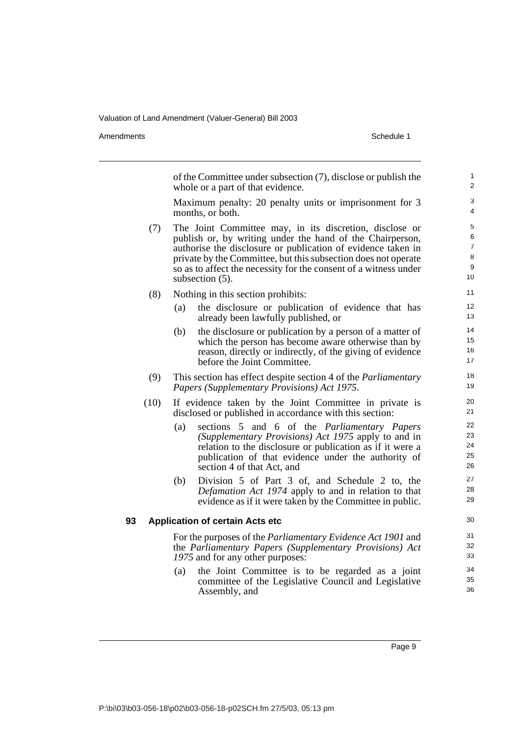Amendments **Schedule 1** and the set of the set of the set of the set of the set of the set of the set of the set of the set of the set of the set of the set of the set of the set of the set of the set of the set of the set

of the Committee under subsection (7), disclose or publish the whole or a part of that evidence. Maximum penalty: 20 penalty units or imprisonment for 3 months, or both. (7) The Joint Committee may, in its discretion, disclose or publish or, by writing under the hand of the Chairperson, authorise the disclosure or publication of evidence taken in private by the Committee, but this subsection does not operate so as to affect the necessity for the consent of a witness under subsection (5). (8) Nothing in this section prohibits: (a) the disclosure or publication of evidence that has already been lawfully published, or (b) the disclosure or publication by a person of a matter of which the person has become aware otherwise than by reason, directly or indirectly, of the giving of evidence before the Joint Committee. (9) This section has effect despite section 4 of the *Parliamentary Papers (Supplementary Provisions) Act 1975*. (10) If evidence taken by the Joint Committee in private is disclosed or published in accordance with this section: (a) sections 5 and 6 of the *Parliamentary Papers (Supplementary Provisions) Act 1975* apply to and in relation to the disclosure or publication as if it were a publication of that evidence under the authority of section 4 of that Act, and (b) Division 5 of Part 3 of, and Schedule 2 to, the *Defamation Act 1974* apply to and in relation to that evidence as if it were taken by the Committee in public. **93 Application of certain Acts etc** For the purposes of the *Parliamentary Evidence Act 1901* and the *Parliamentary Papers (Supplementary Provisions) Act 1975* and for any other purposes: (a) the Joint Committee is to be regarded as a joint committee of the Legislative Council and Legislative Assembly, and 1  $\overline{2}$ 3 4 5 6 7 8 9 10 11 12 13 14 15 16 17 18 19 20 21 22 23 24 25 26 27 28 29 30 31 32 33 34 35 36